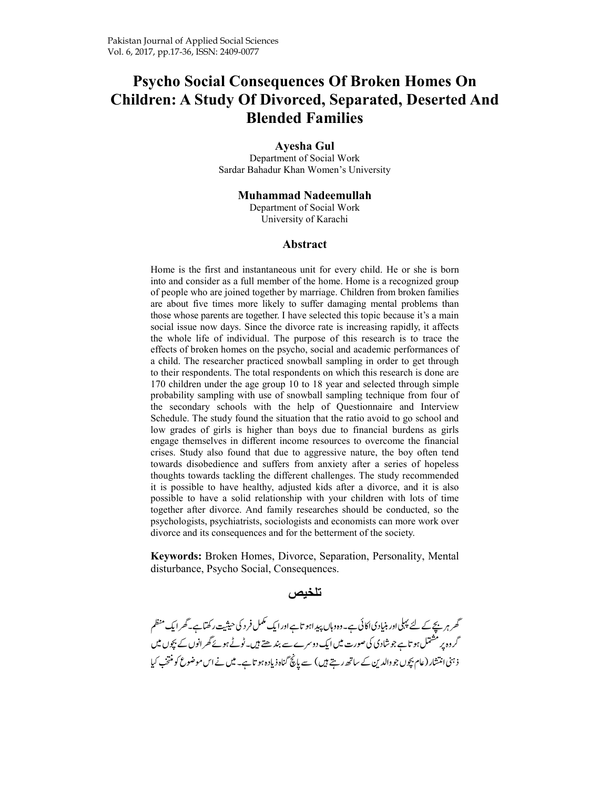# **Psycho Social Consequences Of Broken Homes On Children: A Study Of Divorced, Separated, Deserted And Blended Families**

#### **Ayesha Gul**

Department of Social Work Sardar Bahadur Khan Women's University

#### **Muhammad Nadeemullah**

Department of Social Work University of Karachi

#### **Abstract**

Home is the first and instantaneous unit for every child. He or she is born into and consider as a full member of the home. Home is a recognized group of people who are joined together by marriage. Children from broken families are about five times more likely to suffer damaging mental problems than those whose parents are together. I have selected this topic because it's a main social issue now days. Since the divorce rate is increasing rapidly, it affects the whole life of individual. The purpose of this research is to trace the effects of broken homes on the psycho, social and academic performances of a child. The researcher practiced snowball sampling in order to get through to their respondents. The total respondents on which this research is done are 170 children under the age group 10 to 18 year and selected through simple probability sampling with use of snowball sampling technique from four of the secondary schools with the help of Questionnaire and Interview Schedule. The study found the situation that the ratio avoid to go school and low grades of girls is higher than boys due to financial burdens as girls engage themselves in different income resources to overcome the financial crises. Study also found that due to aggressive nature, the boy often tend towards disobedience and suffers from anxiety after a series of hopeless thoughts towards tackling the different challenges. The study recommended it is possible to have healthy, adjusted kids after a divorce, and it is also possible to have a solid relationship with your children with lots of time together after divorce. And family researches should be conducted, so the psychologists, psychiatrists, sociologists and economists can more work over divorce and its consequences and for the betterment of the society.

**Keywords:** Broken Homes, Divorce, Separation, Personality, Mental disturbance, Psycho Social, Consequences.

#### تلخيص

-کھر ہرنیچے کے لئے پہلی اور بنیادیا کائی ہے۔وہ وہاں پیداہو تاہے اور ایک مکمل فر د کی حیثیت رکھتاہے۔گھر ایک منظم -کروہ پر مسٹمل ہو تاہے جو شادی کی صورت میں ایک دوسرے سے بند ھتے ہیں۔ٹوٹے ہوئے گھر انوں کے بچوں میں |<br>|<br>| ذہنی انتشار (عام بچوں جو دالدین کے ساتھ رہتے ہیں) سے پانچ گناہ ذیادہ ہو تاہے۔ میں نے اس موضوع کو منتخب کیا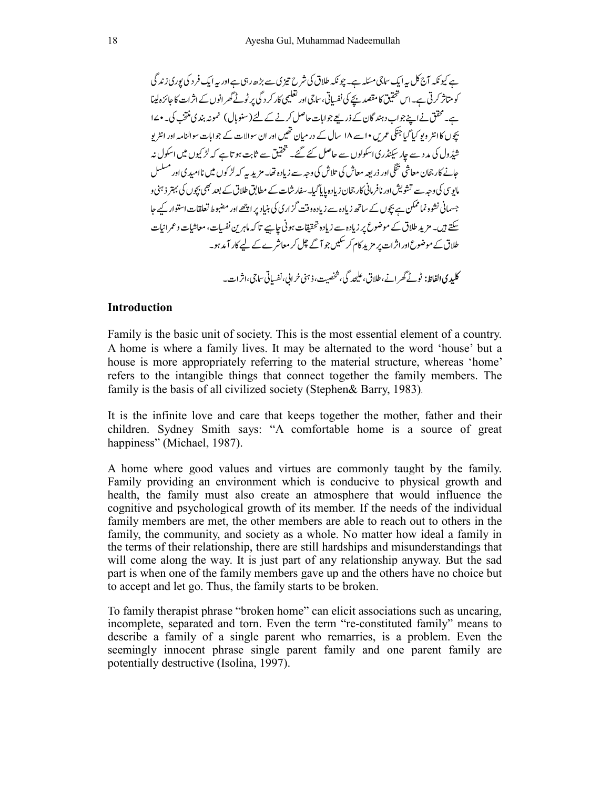-ہے کیونکہ آج کل بیہ ایک ساجی مسئلہ ہے۔ چونکہ طلاق کی شرح تیز کی سے بڑھ رہی ہے اور بیہ ایک فر د کی پوری زند کی -کو متاثر کرتی ہے۔اس حقیق کا مقصد بچے کی نفسایی، ساجی اور تعلیمی کار کر د کی پر ٹوٹے گھر انوں کے اثر ات کا جائزہ لینا ہے۔ حفق نے اپنے جواب دہند گان کے ذریعے جوابات حاصل کرنے کے لئے (سنوبال) نمونہ بندی منتخب کی۔ • ۱۷ -بچوں کا انٹر ویو کیا گیا جنگی عمریں •اسے ۱۸ سال کے در میان تھیں اور ان سوالات کے جوابات سوالنامہ اور انٹر یو -شیڈول کی مد د سے جار سیکنڈری اسکولوں سے حاصل کئے گئے۔ تحقیق سے ثابت ہو تا ہے کہ لڑ کیوں میں اسکول نہ -حائے کار جحان معاشی تنکی اور ذریعہ معاش کی تلاش کی وجہ سے زیادہ تھا۔ مزید پیہ کہ لڑ کوں میں ناامیدی اور مسلسل -مایوسی کی وجہ سے تشویش اور نافر مانی کار جحان زیادہ پایا گیا۔سفار شات کے مطابق طلاق کے بعد بھی بچوں کی بہتر ذہنی و -جسمانی نشود نما تمکن ہے بچوں کے ساتھ زیادہ سے زیادہ وقت گزاری کی بنیاد پر اچھے اور مضبوط تعلقات استوار کیے جا -سکتے ہیں۔ مزید طلاق کے موضوع پر زیادہ سے زیادہ تحقیقات ہوتی جاسپے تا کہ ماہرین نفسیات، معاشیات و عمرانیات طلاق کے موضوع اور اثرات پر مزید کام کر سلیں جو آگے چک کر معاشرے کے لیے کار آمد ہو۔ **کلیدی الفاظ:** ٹوٹے گھر انے،طلاق، علیحد کی، شخصیت،ذہنی خرابی،نفسیانی ساجی،اثر ات۔

#### **Introduction**

Family is the basic unit of society. This is the most essential element of a country. A home is where a family lives. It may be alternated to the word 'house' but a house is more appropriately referring to the material structure, whereas 'home' refers to the intangible things that connect together the family members. The family is the basis of all civilized society (Stephen& Barry, 1983).

It is the infinite love and care that keeps together the mother, father and their children. Sydney Smith says: "A comfortable home is a source of great happiness" (Michael, 1987).

A home where good values and virtues are commonly taught by the family. Family providing an environment which is conducive to physical growth and health, the family must also create an atmosphere that would influence the cognitive and psychological growth of its member. If the needs of the individual family members are met, the other members are able to reach out to others in the family, the community, and society as a whole. No matter how ideal a family in the terms of their relationship, there are still hardships and misunderstandings that will come along the way. It is just part of any relationship anyway. But the sad part is when one of the family members gave up and the others have no choice but to accept and let go. Thus, the family starts to be broken.

To family therapist phrase "broken home" can elicit associations such as uncaring, incomplete, separated and torn. Even the term "re-constituted family" means to describe a family of a single parent who remarries, is a problem. Even the seemingly innocent phrase single parent family and one parent family are potentially destructive (Isolina, 1997).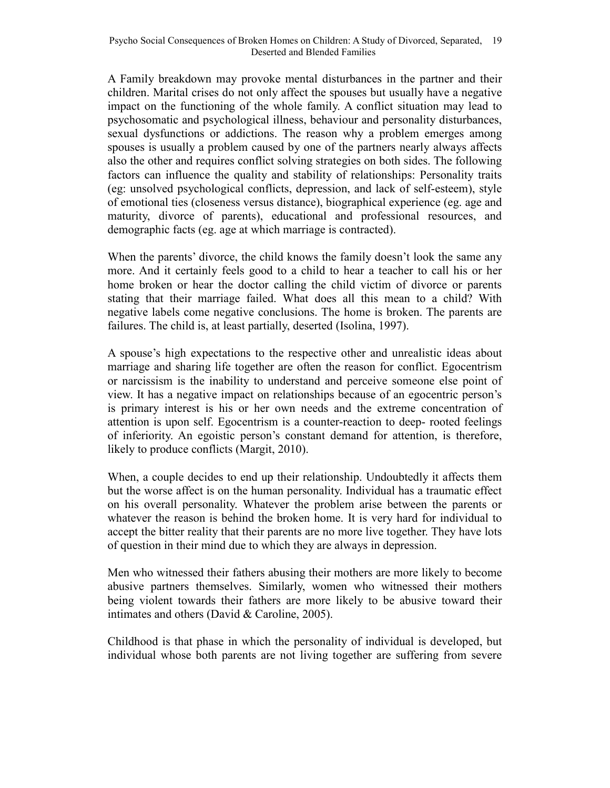A Family breakdown may provoke mental disturbances in the partner and their children. Marital crises do not only affect the spouses but usually have a negative impact on the functioning of the whole family. A conflict situation may lead to psychosomatic and psychological illness, behaviour and personality disturbances, sexual dysfunctions or addictions. The reason why a problem emerges among spouses is usually a problem caused by one of the partners nearly always affects also the other and requires conflict solving strategies on both sides. The following factors can influence the quality and stability of relationships: Personality traits (eg: unsolved psychological conflicts, depression, and lack of self-esteem), style of emotional ties (closeness versus distance), biographical experience (eg. age and maturity, divorce of parents), educational and professional resources, and demographic facts (eg. age at which marriage is contracted).

When the parents' divorce, the child knows the family doesn't look the same any more. And it certainly feels good to a child to hear a teacher to call his or her home broken or hear the doctor calling the child victim of divorce or parents stating that their marriage failed. What does all this mean to a child? With negative labels come negative conclusions. The home is broken. The parents are failures. The child is, at least partially, deserted (Isolina, 1997).

A spouse's high expectations to the respective other and unrealistic ideas about marriage and sharing life together are often the reason for conflict. Egocentrism or narcissism is the inability to understand and perceive someone else point of view. It has a negative impact on relationships because of an egocentric person's is primary interest is his or her own needs and the extreme concentration of attention is upon self. Egocentrism is a counter-reaction to deep- rooted feelings of inferiority. An egoistic person's constant demand for attention, is therefore, likely to produce conflicts (Margit, 2010).

When, a couple decides to end up their relationship. Undoubtedly it affects them but the worse affect is on the human personality. Individual has a traumatic effect on his overall personality. Whatever the problem arise between the parents or whatever the reason is behind the broken home. It is very hard for individual to accept the bitter reality that their parents are no more live together. They have lots of question in their mind due to which they are always in depression.

Men who witnessed their fathers abusing their mothers are more likely to become abusive partners themselves. Similarly, women who witnessed their mothers being violent towards their fathers are more likely to be abusive toward their intimates and others (David & Caroline, 2005).

Childhood is that phase in which the personality of individual is developed, but individual whose both parents are not living together are suffering from severe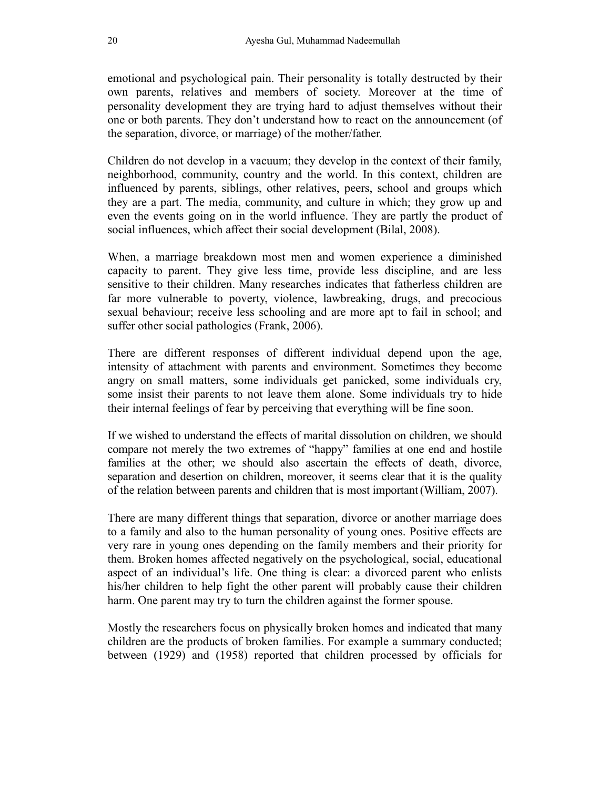emotional and psychological pain. Their personality is totally destructed by their own parents, relatives and members of society. Moreover at the time of personality development they are trying hard to adjust themselves without their one or both parents. They don't understand how to react on the announcement (of the separation, divorce, or marriage) of the mother/father.

Children do not develop in a vacuum; they develop in the context of their family, neighborhood, community, country and the world. In this context, children are influenced by parents, siblings, other relatives, peers, school and groups which they are a part. The media, community, and culture in which; they grow up and even the events going on in the world influence. They are partly the product of social influences, which affect their social development (Bilal, 2008).

When, a marriage breakdown most men and women experience a diminished capacity to parent. They give less time, provide less discipline, and are less sensitive to their children. Many researches indicates that fatherless children are far more vulnerable to poverty, violence, lawbreaking, drugs, and precocious sexual behaviour; receive less schooling and are more apt to fail in school; and suffer other social pathologies (Frank, 2006).

There are different responses of different individual depend upon the age, intensity of attachment with parents and environment. Sometimes they become angry on small matters, some individuals get panicked, some individuals cry, some insist their parents to not leave them alone. Some individuals try to hide their internal feelings of fear by perceiving that everything will be fine soon.

If we wished to understand the effects of marital dissolution on children, we should compare not merely the two extremes of "happy" families at one end and hostile families at the other; we should also ascertain the effects of death, divorce, separation and desertion on children, moreover, it seems clear that it is the quality of the relation between parents and children that is most important(William, 2007).

There are many different things that separation, divorce or another marriage does to a family and also to the human personality of young ones. Positive effects are very rare in young ones depending on the family members and their priority for them. Broken homes affected negatively on the psychological, social, educational aspect of an individual's life. One thing is clear: a divorced parent who enlists his/her children to help fight the other parent will probably cause their children harm. One parent may try to turn the children against the former spouse.

Mostly the researchers focus on physically broken homes and indicated that many children are the products of broken families. For example a summary conducted; between (1929) and (1958) reported that children processed by officials for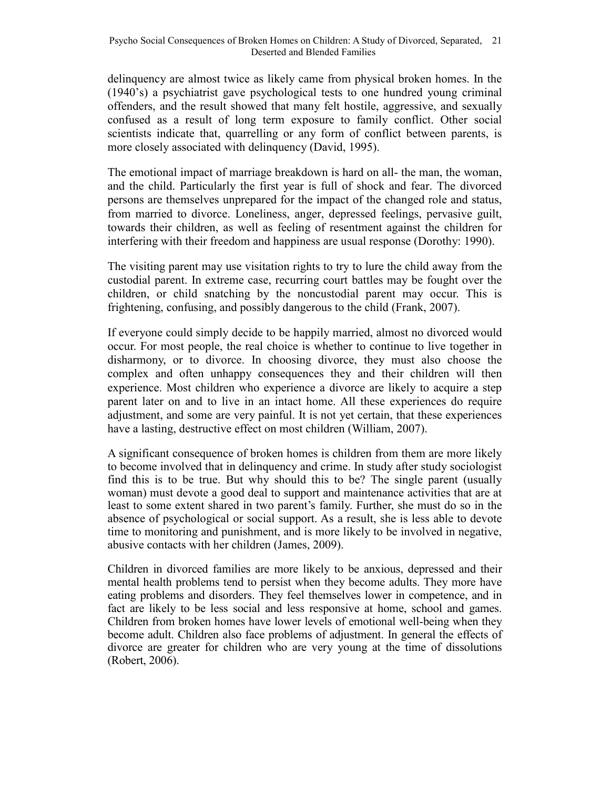delinquency are almost twice as likely came from physical broken homes. In the (1940's) a psychiatrist gave psychological tests to one hundred young criminal offenders, and the result showed that many felt hostile, aggressive, and sexually confused as a result of long term exposure to family conflict. Other social scientists indicate that, quarrelling or any form of conflict between parents, is more closely associated with delinquency (David, 1995).

The emotional impact of marriage breakdown is hard on all- the man, the woman, and the child. Particularly the first year is full of shock and fear. The divorced persons are themselves unprepared for the impact of the changed role and status, from married to divorce. Loneliness, anger, depressed feelings, pervasive guilt, towards their children, as well as feeling of resentment against the children for interfering with their freedom and happiness are usual response (Dorothy: 1990).

The visiting parent may use visitation rights to try to lure the child away from the custodial parent. In extreme case, recurring court battles may be fought over the children, or child snatching by the noncustodial parent may occur. This is frightening, confusing, and possibly dangerous to the child (Frank, 2007).

If everyone could simply decide to be happily married, almost no divorced would occur. For most people, the real choice is whether to continue to live together in disharmony, or to divorce. In choosing divorce, they must also choose the complex and often unhappy consequences they and their children will then experience. Most children who experience a divorce are likely to acquire a step parent later on and to live in an intact home. All these experiences do require adjustment, and some are very painful. It is not yet certain, that these experiences have a lasting, destructive effect on most children (William, 2007).

A significant consequence of broken homes is children from them are more likely to become involved that in delinquency and crime. In study after study sociologist find this is to be true. But why should this to be? The single parent (usually woman) must devote a good deal to support and maintenance activities that are at least to some extent shared in two parent's family. Further, she must do so in the absence of psychological or social support. As a result, she is less able to devote time to monitoring and punishment, and is more likely to be involved in negative, abusive contacts with her children (James, 2009).

Children in divorced families are more likely to be anxious, depressed and their mental health problems tend to persist when they become adults. They more have eating problems and disorders. They feel themselves lower in competence, and in fact are likely to be less social and less responsive at home, school and games. Children from broken homes have lower levels of emotional well-being when they become adult. Children also face problems of adjustment. In general the effects of divorce are greater for children who are very young at the time of dissolutions (Robert, 2006).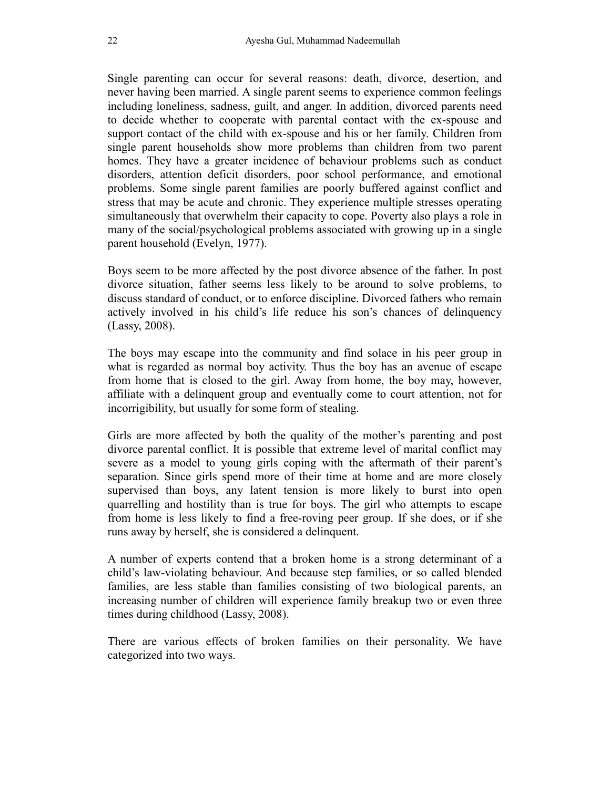Single parenting can occur for several reasons: death, divorce, desertion, and never having been married. A single parent seems to experience common feelings including loneliness, sadness, guilt, and anger. In addition, divorced parents need to decide whether to cooperate with parental contact with the ex-spouse and support contact of the child with ex-spouse and his or her family. Children from single parent households show more problems than children from two parent homes. They have a greater incidence of behaviour problems such as conduct disorders, attention deficit disorders, poor school performance, and emotional problems. Some single parent families are poorly buffered against conflict and stress that may be acute and chronic. They experience multiple stresses operating simultaneously that overwhelm their capacity to cope. Poverty also plays a role in many of the social/psychological problems associated with growing up in a single parent household (Evelyn, 1977).

Boys seem to be more affected by the post divorce absence of the father. In post divorce situation, father seems less likely to be around to solve problems, to discuss standard of conduct, or to enforce discipline. Divorced fathers who remain actively involved in his child's life reduce his son's chances of delinquency (Lassy, 2008).

The boys may escape into the community and find solace in his peer group in what is regarded as normal boy activity. Thus the boy has an avenue of escape from home that is closed to the girl. Away from home, the boy may, however, affiliate with a delinquent group and eventually come to court attention, not for incorrigibility, but usually for some form of stealing.

Girls are more affected by both the quality of the mother's parenting and post divorce parental conflict. It is possible that extreme level of marital conflict may severe as a model to young girls coping with the aftermath of their parent's separation. Since girls spend more of their time at home and are more closely supervised than boys, any latent tension is more likely to burst into open quarrelling and hostility than is true for boys. The girl who attempts to escape from home is less likely to find a free-roving peer group. If she does, or if she runs away by herself, she is considered a delinquent.

A number of experts contend that a broken home is a strong determinant of a child's law-violating behaviour. And because step families, or so called blended families, are less stable than families consisting of two biological parents, an increasing number of children will experience family breakup two or even three times during childhood (Lassy, 2008).

There are various effects of broken families on their personality. We have categorized into two ways.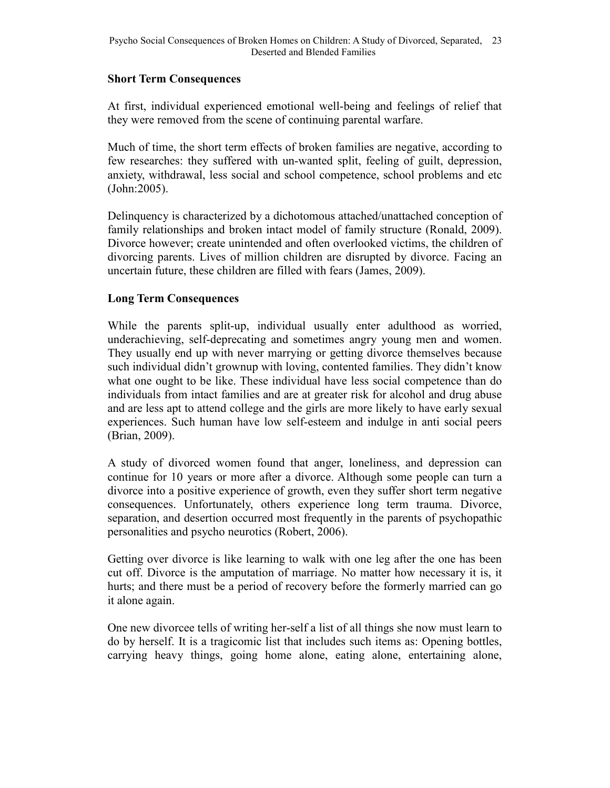#### **Short Term Consequences**

At first, individual experienced emotional well-being and feelings of relief that they were removed from the scene of continuing parental warfare.

Much of time, the short term effects of broken families are negative, according to few researches: they suffered with un-wanted split, feeling of guilt, depression, anxiety, withdrawal, less social and school competence, school problems and etc (John:2005).

Delinquency is characterized by a dichotomous attached/unattached conception of family relationships and broken intact model of family structure (Ronald, 2009). Divorce however; create unintended and often overlooked victims, the children of divorcing parents. Lives of million children are disrupted by divorce. Facing an uncertain future, these children are filled with fears (James, 2009).

# **Long Term Consequences**

While the parents split-up, individual usually enter adulthood as worried, underachieving, self-deprecating and sometimes angry young men and women. They usually end up with never marrying or getting divorce themselves because such individual didn't grownup with loving, contented families. They didn't know what one ought to be like. These individual have less social competence than do individuals from intact families and are at greater risk for alcohol and drug abuse and are less apt to attend college and the girls are more likely to have early sexual experiences. Such human have low self-esteem and indulge in anti social peers (Brian, 2009).

A study of divorced women found that anger, loneliness, and depression can continue for 10 years or more after a divorce. Although some people can turn a divorce into a positive experience of growth, even they suffer short term negative consequences. Unfortunately, others experience long term trauma. Divorce, separation, and desertion occurred most frequently in the parents of psychopathic personalities and psycho neurotics (Robert, 2006).

Getting over divorce is like learning to walk with one leg after the one has been cut off. Divorce is the amputation of marriage. No matter how necessary it is, it hurts; and there must be a period of recovery before the formerly married can go it alone again.

One new divorcee tells of writing her-self a list of all things she now must learn to do by herself. It is a tragicomic list that includes such items as: Opening bottles, carrying heavy things, going home alone, eating alone, entertaining alone,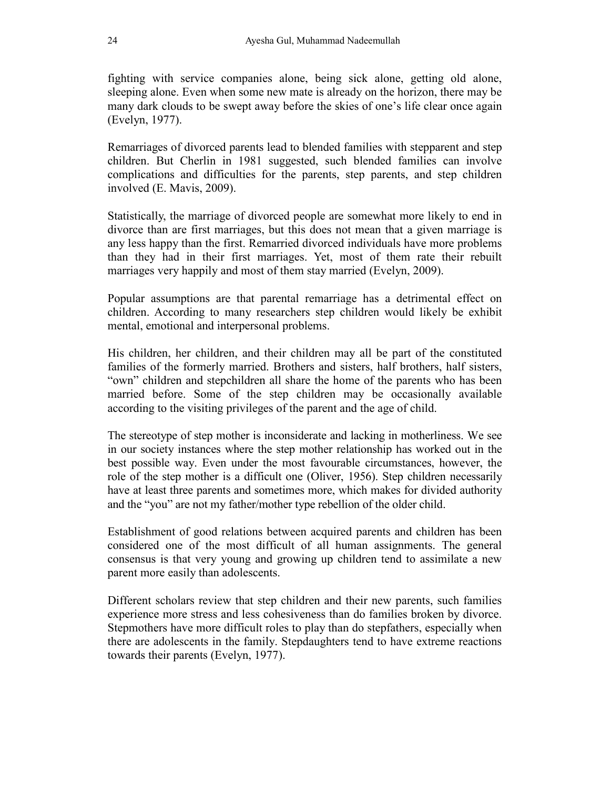fighting with service companies alone, being sick alone, getting old alone, sleeping alone. Even when some new mate is already on the horizon, there may be many dark clouds to be swept away before the skies of one's life clear once again (Evelyn, 1977).

Remarriages of divorced parents lead to blended families with stepparent and step children. But Cherlin in 1981 suggested, such blended families can involve complications and difficulties for the parents, step parents, and step children involved (E. Mavis, 2009).

Statistically, the marriage of divorced people are somewhat more likely to end in divorce than are first marriages, but this does not mean that a given marriage is any less happy than the first. Remarried divorced individuals have more problems than they had in their first marriages. Yet, most of them rate their rebuilt marriages very happily and most of them stay married (Evelyn, 2009).

Popular assumptions are that parental remarriage has a detrimental effect on children. According to many researchers step children would likely be exhibit mental, emotional and interpersonal problems.

His children, her children, and their children may all be part of the constituted families of the formerly married. Brothers and sisters, half brothers, half sisters, "own" children and stepchildren all share the home of the parents who has been married before. Some of the step children may be occasionally available according to the visiting privileges of the parent and the age of child.

The stereotype of step mother is inconsiderate and lacking in motherliness. We see in our society instances where the step mother relationship has worked out in the best possible way. Even under the most favourable circumstances, however, the role of the step mother is a difficult one (Oliver, 1956). Step children necessarily have at least three parents and sometimes more, which makes for divided authority and the "you" are not my father/mother type rebellion of the older child.

Establishment of good relations between acquired parents and children has been considered one of the most difficult of all human assignments. The general consensus is that very young and growing up children tend to assimilate a new parent more easily than adolescents.

Different scholars review that step children and their new parents, such families experience more stress and less cohesiveness than do families broken by divorce. Stepmothers have more difficult roles to play than do stepfathers, especially when there are adolescents in the family. Stepdaughters tend to have extreme reactions towards their parents (Evelyn, 1977).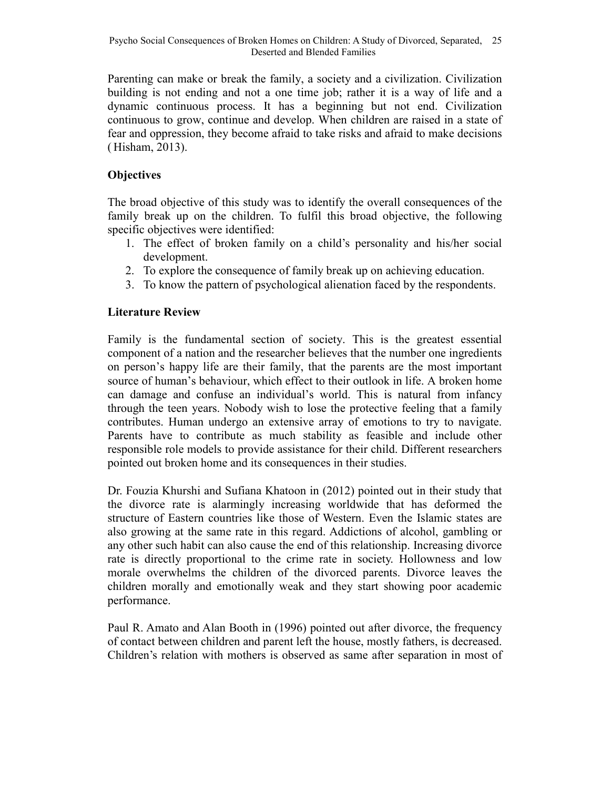Parenting can make or break the family, a society and a civilization. Civilization building is not ending and not a one time job; rather it is a way of life and a dynamic continuous process. It has a beginning but not end. Civilization continuous to grow, continue and develop. When children are raised in a state of fear and oppression, they become afraid to take risks and afraid to make decisions ( Hisham, 2013).

# **Objectives**

The broad objective of this study was to identify the overall consequences of the family break up on the children. To fulfil this broad objective, the following specific objectives were identified:

- 1. The effect of broken family on a child's personality and his/her social development.
- 2. To explore the consequence of family break up on achieving education.
- 3. To know the pattern of psychological alienation faced by the respondents.

# **Literature Review**

Family is the fundamental section of society. This is the greatest essential component of a nation and the researcher believes that the number one ingredients on person's happy life are their family, that the parents are the most important source of human's behaviour, which effect to their outlook in life. A broken home can damage and confuse an individual's world. This is natural from infancy through the teen years. Nobody wish to lose the protective feeling that a family contributes. Human undergo an extensive array of emotions to try to navigate. Parents have to contribute as much stability as feasible and include other responsible role models to provide assistance for their child. Different researchers pointed out broken home and its consequences in their studies.

Dr. Fouzia Khurshi and Sufiana Khatoon in (2012) pointed out in their study that the divorce rate is alarmingly increasing worldwide that has deformed the structure of Eastern countries like those of Western. Even the Islamic states are also growing at the same rate in this regard. Addictions of alcohol, gambling or any other such habit can also cause the end of this relationship. Increasing divorce rate is directly proportional to the crime rate in society. Hollowness and low morale overwhelms the children of the divorced parents. Divorce leaves the children morally and emotionally weak and they start showing poor academic performance.

Paul R. Amato and Alan Booth in (1996) pointed out after divorce, the frequency of contact between children and parent left the house, mostly fathers, is decreased. Children's relation with mothers is observed as same after separation in most of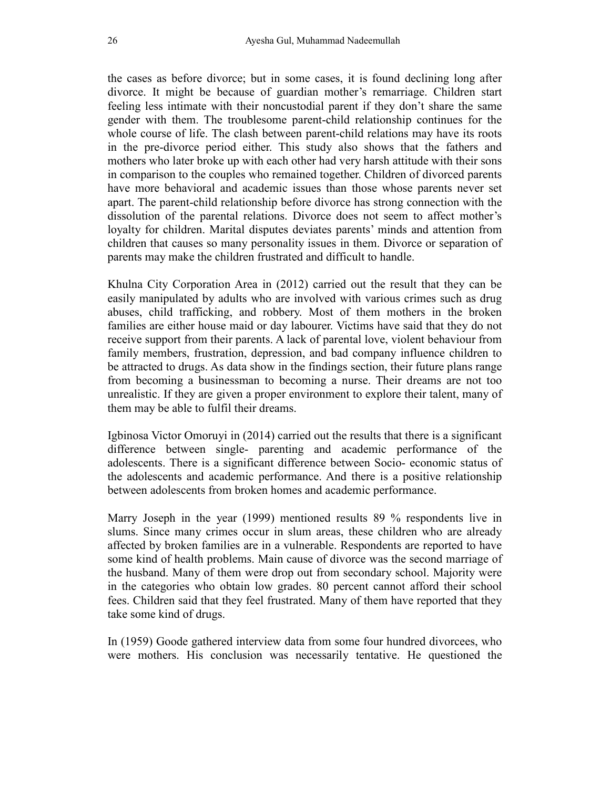the cases as before divorce; but in some cases, it is found declining long after divorce. It might be because of guardian mother's remarriage. Children start feeling less intimate with their noncustodial parent if they don't share the same gender with them. The troublesome parent-child relationship continues for the whole course of life. The clash between parent-child relations may have its roots in the pre-divorce period either. This study also shows that the fathers and mothers who later broke up with each other had very harsh attitude with their sons in comparison to the couples who remained together. Children of divorced parents have more behavioral and academic issues than those whose parents never set apart. The parent-child relationship before divorce has strong connection with the dissolution of the parental relations. Divorce does not seem to affect mother's loyalty for children. Marital disputes deviates parents' minds and attention from children that causes so many personality issues in them. Divorce or separation of parents may make the children frustrated and difficult to handle.

Khulna City Corporation Area in (2012) carried out the result that they can be easily manipulated by adults who are involved with various crimes such as drug abuses, child trafficking, and robbery. Most of them mothers in the broken families are either house maid or day labourer. Victims have said that they do not receive support from their parents. A lack of parental love, violent behaviour from family members, frustration, depression, and bad company influence children to be attracted to drugs. As data show in the findings section, their future plans range from becoming a businessman to becoming a nurse. Their dreams are not too unrealistic. If they are given a proper environment to explore their talent, many of them may be able to fulfil their dreams.

Igbinosa Victor Omoruyi in (2014) carried out the results that there is a significant difference between single- parenting and academic performance of the adolescents. There is a significant difference between Socio- economic status of the adolescents and academic performance. And there is a positive relationship between adolescents from broken homes and academic performance.

Marry Joseph in the year (1999) mentioned results 89 % respondents live in slums. Since many crimes occur in slum areas, these children who are already affected by broken families are in a vulnerable. Respondents are reported to have some kind of health problems. Main cause of divorce was the second marriage of the husband. Many of them were drop out from secondary school. Majority were in the categories who obtain low grades. 80 percent cannot afford their school fees. Children said that they feel frustrated. Many of them have reported that they take some kind of drugs.

In (1959) Goode gathered interview data from some four hundred divorcees, who were mothers. His conclusion was necessarily tentative. He questioned the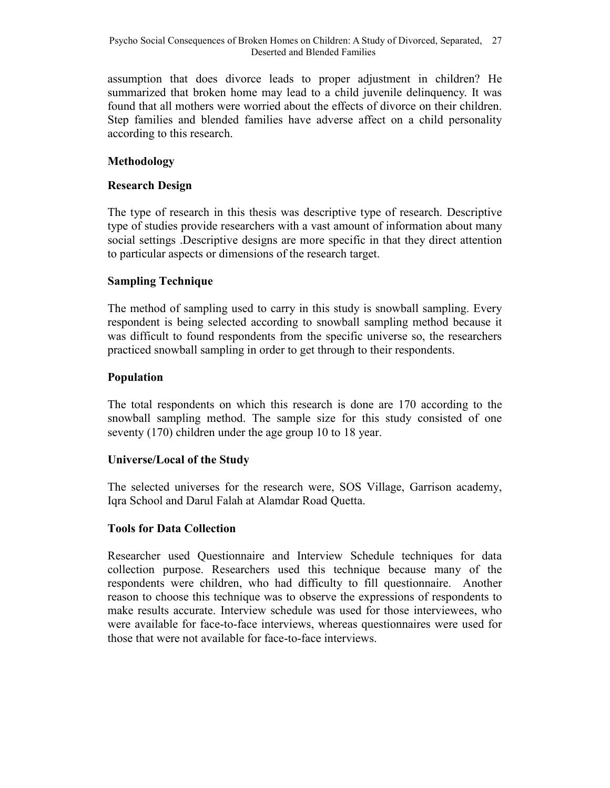assumption that does divorce leads to proper adjustment in children? He summarized that broken home may lead to a child juvenile delinquency. It was found that all mothers were worried about the effects of divorce on their children. Step families and blended families have adverse affect on a child personality according to this research.

# **Methodology**

### **Research Design**

The type of research in this thesis was descriptive type of research. Descriptive type of studies provide researchers with a vast amount of information about many social settings .Descriptive designs are more specific in that they direct attention to particular aspects or dimensions of the research target.

# **Sampling Technique**

The method of sampling used to carry in this study is snowball sampling. Every respondent is being selected according to snowball sampling method because it was difficult to found respondents from the specific universe so, the researchers practiced snowball sampling in order to get through to their respondents.

#### **Population**

The total respondents on which this research is done are 170 according to the snowball sampling method. The sample size for this study consisted of one seventy (170) children under the age group 10 to 18 year.

#### **Universe/Local of the Study**

The selected universes for the research were, SOS Village, Garrison academy, Iqra School and Darul Falah at Alamdar Road Quetta.

#### **Tools for Data Collection**

Researcher used Questionnaire and Interview Schedule techniques for data collection purpose. Researchers used this technique because many of the respondents were children, who had difficulty to fill questionnaire. Another reason to choose this technique was to observe the expressions of respondents to make results accurate. Interview schedule was used for those interviewees, who were available for face-to-face interviews, whereas questionnaires were used for those that were not available for face-to-face interviews.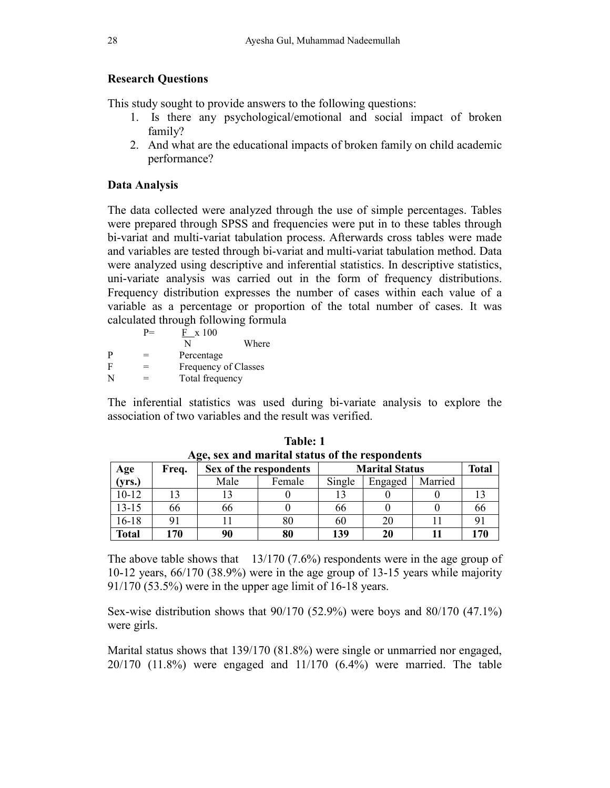### **Research Questions**

This study sought to provide answers to the following questions:

- 1. Is there any psychological/emotional and social impact of broken family?
- 2. And what are the educational impacts of broken family on child academic performance?

#### **Data Analysis**

The data collected were analyzed through the use of simple percentages. Tables were prepared through SPSS and frequencies were put in to these tables through bi-variat and multi-variat tabulation process. Afterwards cross tables were made and variables are tested through bi-variat and multi-variat tabulation method. Data were analyzed using descriptive and inferential statistics. In descriptive statistics, uni-variate analysis was carried out in the form of frequency distributions. Frequency distribution expresses the number of cases within each value of a variable as a percentage or proportion of the total number of cases. It was calculated through following formula

|   | $P =$ | F x 100              |       |
|---|-------|----------------------|-------|
|   |       | N                    | Where |
| P | =     | Percentage           |       |
| F | $=$   | Frequency of Classes |       |
| N | $=$   | Total frequency      |       |

The inferential statistics was used during bi-variate analysis to explore the association of two variables and the result was verified.

| Age, sex and marital status of the respondents |       |      |                        |                       |              |         |     |  |  |
|------------------------------------------------|-------|------|------------------------|-----------------------|--------------|---------|-----|--|--|
| Age                                            | Freq. |      | Sex of the respondents | <b>Marital Status</b> | <b>Total</b> |         |     |  |  |
| (yrs.)                                         |       | Male | Female                 | Single                | Engaged      | Married |     |  |  |
| 10-12                                          |       |      |                        |                       |              |         |     |  |  |
| 13-15                                          | 66    | 66   |                        | 66                    |              |         | 00  |  |  |
| 16-18                                          | 9     |      | 80                     | 60                    | 20           |         |     |  |  |
| Total                                          | 170   | 90   | 80                     | 139                   | 20           |         | 170 |  |  |

**Table: 1 Age, sex and marital status of the respondents** 

The above table shows that 13/170 (7.6%) respondents were in the age group of 10-12 years, 66/170 (38.9%) were in the age group of 13-15 years while majority 91/170 (53.5%) were in the upper age limit of 16-18 years.

Sex-wise distribution shows that 90/170 (52.9%) were boys and 80/170 (47.1%) were girls.

Marital status shows that 139/170 (81.8%) were single or unmarried nor engaged, 20/170 (11.8%) were engaged and 11/170 (6.4%) were married. The table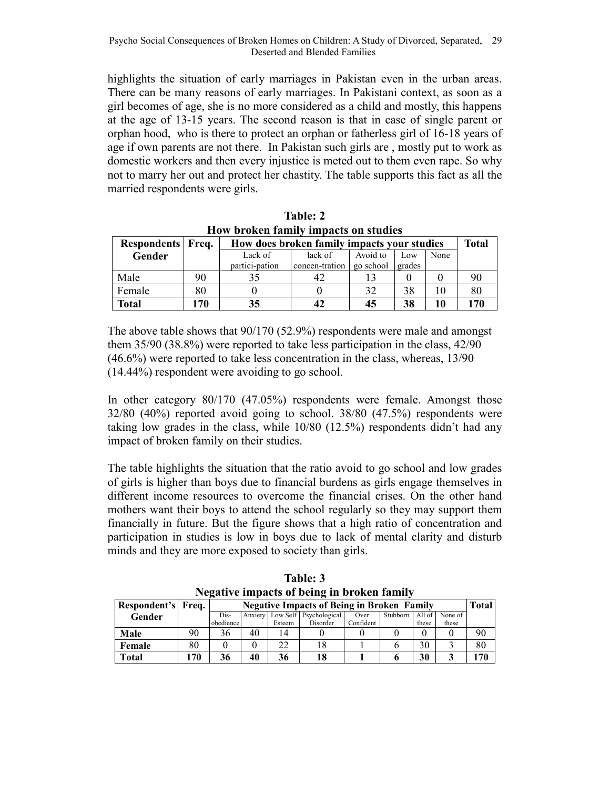highlights the situation of early marriages in Pakistan even in the urban areas. There can be many reasons of early marriages. In Pakistani context, as soon as a girl becomes of age, she is no more considered as a child and mostly, this happens at the age of 13-15 years. The second reason is that in case of single parent or orphan hood, who is there to protect an orphan or fatherless girl of 16-18 years of age if own parents are not there. In Pakistan such girls are , mostly put to work as domestic workers and then every injustice is meted out to them even rape. So why not to marry her out and protect her chastity. The table supports this fact as all the married respondents were girls.

| Frow broken rannly impacts on studies |     |                                             |                |           |        |      |     |  |  |
|---------------------------------------|-----|---------------------------------------------|----------------|-----------|--------|------|-----|--|--|
| Respondents Freq.                     |     | How does broken family impacts your studies |                |           |        |      |     |  |  |
| Gender                                |     | Lack of                                     | lack of        | Avoid to  | Low    | None |     |  |  |
|                                       |     | partici-pation                              | concen-tration | go school | grades |      |     |  |  |
| Male                                  | 90  |                                             | 42             |           |        |      | 90  |  |  |
| Female                                | 80  |                                             |                | 32        | 38     | 10   | 80  |  |  |
| <b>Total</b>                          | 170 | 35                                          | 42             | 45        | 38     | 10   | 170 |  |  |

**Table: 2 How broken family impacts on studies** 

The above table shows that 90/170 (52.9%) respondents were male and amongst them 35/90 (38.8%) were reported to take less participation in the class, 42/90 (46.6%) were reported to take less concentration in the class, whereas, 13/90 (14.44%) respondent were avoiding to go school.

In other category 80/170 (47.05%) respondents were female. Amongst those 32/80 (40%) reported avoid going to school. 38/80 (47.5%) respondents were taking low grades in the class, while 10/80 (12.5%) respondents didn't had any impact of broken family on their studies.

The table highlights the situation that the ratio avoid to go school and low grades of girls is higher than boys due to financial burdens as girls engage themselves in different income resources to overcome the financial crises. On the other hand mothers want their boys to attend the school regularly so they may support them financially in future. But the figure shows that a high ratio of concentration and participation in studies is low in boys due to lack of mental clarity and disturb minds and they are more exposed to society than girls.

| <b>INCRUIVE HIIDACUS OI DEINR III DI OKEN TAHINY</b> |     |           |                                                                   |        |                                |           |          |        |         |    |  |
|------------------------------------------------------|-----|-----------|-------------------------------------------------------------------|--------|--------------------------------|-----------|----------|--------|---------|----|--|
| Respondent's Freq.                                   |     |           | <b>Total</b><br><b>Negative Impacts of Being in Broken Family</b> |        |                                |           |          |        |         |    |  |
| Gender                                               |     | Dis-      |                                                                   |        | Anxiety Low Self Psychological | Over      | Stubborn | All of | None of |    |  |
|                                                      |     | obedience |                                                                   | Esteem | Disorder                       | Confident |          | these  | these   |    |  |
| Male                                                 | 90  | 36        | 40                                                                | 14     |                                |           |          |        |         | 90 |  |
| Female                                               | 80  |           |                                                                   | 22     |                                |           |          | 30     |         | 80 |  |
| Total                                                | 170 | 36        | 40                                                                | 36     | 18                             |           |          | 30     |         | 70 |  |

**Table: 3 Negative impacts of being in broken family**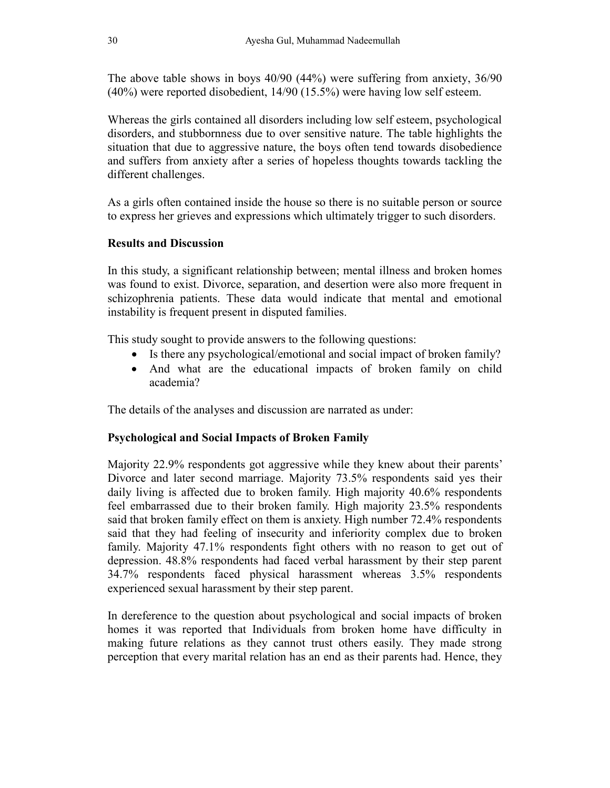The above table shows in boys 40/90 (44%) were suffering from anxiety, 36/90 (40%) were reported disobedient, 14/90 (15.5%) were having low self esteem.

Whereas the girls contained all disorders including low self esteem, psychological disorders, and stubbornness due to over sensitive nature. The table highlights the situation that due to aggressive nature, the boys often tend towards disobedience and suffers from anxiety after a series of hopeless thoughts towards tackling the different challenges.

As a girls often contained inside the house so there is no suitable person or source to express her grieves and expressions which ultimately trigger to such disorders.

#### **Results and Discussion**

In this study, a significant relationship between; mental illness and broken homes was found to exist. Divorce, separation, and desertion were also more frequent in schizophrenia patients. These data would indicate that mental and emotional instability is frequent present in disputed families.

This study sought to provide answers to the following questions:

- Is there any psychological/emotional and social impact of broken family?
- And what are the educational impacts of broken family on child academia?

The details of the analyses and discussion are narrated as under:

# **Psychological and Social Impacts of Broken Family**

Majority 22.9% respondents got aggressive while they knew about their parents' Divorce and later second marriage. Majority 73.5% respondents said yes their daily living is affected due to broken family. High majority 40.6% respondents feel embarrassed due to their broken family. High majority 23.5% respondents said that broken family effect on them is anxiety. High number 72.4% respondents said that they had feeling of insecurity and inferiority complex due to broken family. Majority 47.1% respondents fight others with no reason to get out of depression. 48.8% respondents had faced verbal harassment by their step parent 34.7% respondents faced physical harassment whereas 3.5% respondents experienced sexual harassment by their step parent.

In dereference to the question about psychological and social impacts of broken homes it was reported that Individuals from broken home have difficulty in making future relations as they cannot trust others easily. They made strong perception that every marital relation has an end as their parents had. Hence, they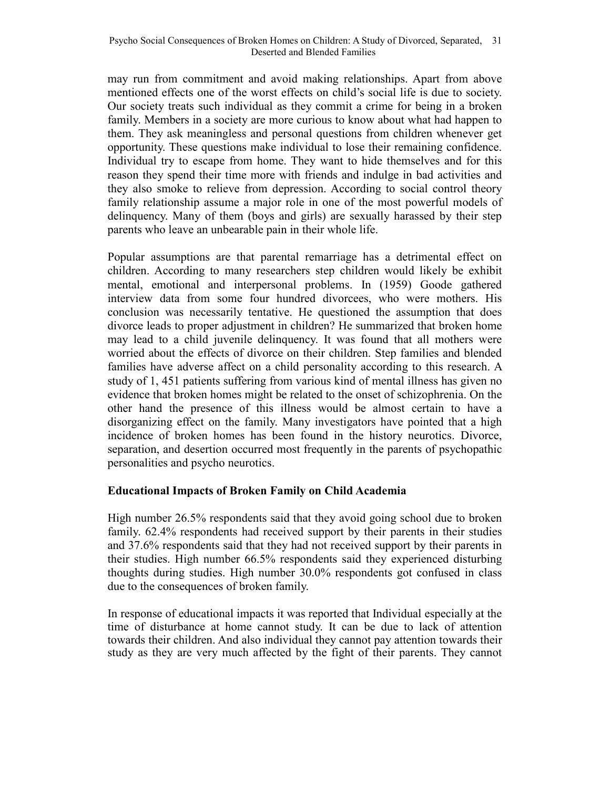may run from commitment and avoid making relationships. Apart from above mentioned effects one of the worst effects on child's social life is due to society. Our society treats such individual as they commit a crime for being in a broken family. Members in a society are more curious to know about what had happen to them. They ask meaningless and personal questions from children whenever get opportunity. These questions make individual to lose their remaining confidence. Individual try to escape from home. They want to hide themselves and for this reason they spend their time more with friends and indulge in bad activities and they also smoke to relieve from depression. According to social control theory family relationship assume a major role in one of the most powerful models of delinquency. Many of them (boys and girls) are sexually harassed by their step parents who leave an unbearable pain in their whole life.

Popular assumptions are that parental remarriage has a detrimental effect on children. According to many researchers step children would likely be exhibit mental, emotional and interpersonal problems. In (1959) Goode gathered interview data from some four hundred divorcees, who were mothers. His conclusion was necessarily tentative. He questioned the assumption that does divorce leads to proper adjustment in children? He summarized that broken home may lead to a child juvenile delinquency. It was found that all mothers were worried about the effects of divorce on their children. Step families and blended families have adverse affect on a child personality according to this research. A study of 1, 451 patients suffering from various kind of mental illness has given no evidence that broken homes might be related to the onset of schizophrenia. On the other hand the presence of this illness would be almost certain to have a disorganizing effect on the family. Many investigators have pointed that a high incidence of broken homes has been found in the history neurotics. Divorce, separation, and desertion occurred most frequently in the parents of psychopathic personalities and psycho neurotics.

# **Educational Impacts of Broken Family on Child Academia**

High number 26.5% respondents said that they avoid going school due to broken family. 62.4% respondents had received support by their parents in their studies and 37.6% respondents said that they had not received support by their parents in their studies. High number 66.5% respondents said they experienced disturbing thoughts during studies. High number 30.0% respondents got confused in class due to the consequences of broken family.

In response of educational impacts it was reported that Individual especially at the time of disturbance at home cannot study. It can be due to lack of attention towards their children. And also individual they cannot pay attention towards their study as they are very much affected by the fight of their parents. They cannot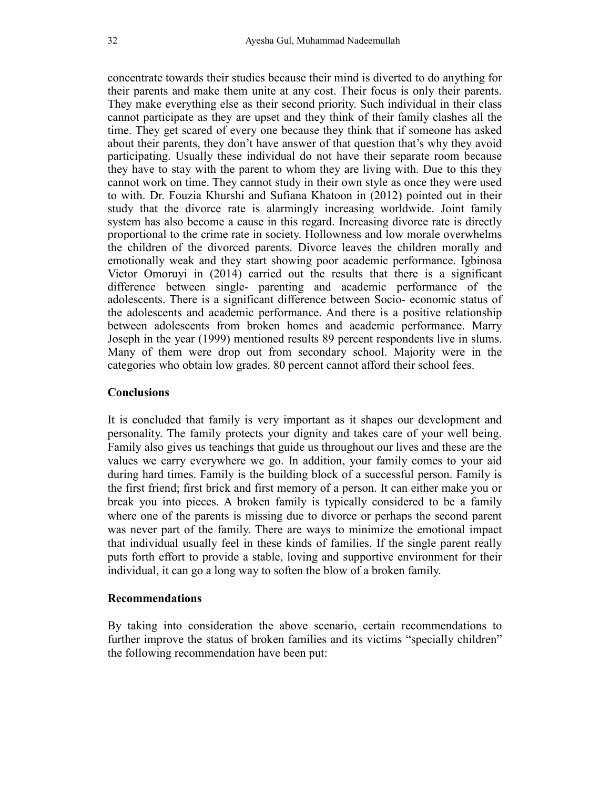concentrate towards their studies because their mind is diverted to do anything for their parents and make them unite at any cost. Their focus is only their parents. They make everything else as their second priority. Such individual in their class cannot participate as they are upset and they think of their family clashes all the time. They get scared of every one because they think that if someone has asked about their parents, they don't have answer of that question that's why they avoid participating. Usually these individual do not have their separate room because they have to stay with the parent to whom they are living with. Due to this they cannot work on time. They cannot study in their own style as once they were used to with. Dr. Fouzia Khurshi and Sufiana Khatoon in (2012) pointed out in their study that the divorce rate is alarmingly increasing worldwide. Joint family system has also become a cause in this regard. Increasing divorce rate is directly proportional to the crime rate in society. Hollowness and low morale overwhelms the children of the divorced parents. Divorce leaves the children morally and emotionally weak and they start showing poor academic performance. Igbinosa Victor Omoruyi in (2014) carried out the results that there is a significant difference between single- parenting and academic performance of the adolescents. There is a significant difference between Socio- economic status of the adolescents and academic performance. And there is a positive relationship between adolescents from broken homes and academic performance. Marry Joseph in the year (1999) mentioned results 89 percent respondents live in slums. Many of them were drop out from secondary school. Majority were in the categories who obtain low grades. 80 percent cannot afford their school fees.

#### **Conclusions**

It is concluded that family is very important as it shapes our development and personality. The family protects your dignity and takes care of your well being. Family also gives us teachings that guide us throughout our lives and these are the values we carry everywhere we go. In addition, your family comes to your aid during hard times. Family is the building block of a successful person. Family is the first friend; first brick and first memory of a person. It can either make you or break you into pieces. A broken family is typically considered to be a family where one of the parents is missing due to divorce or perhaps the second parent was never part of the family. There are ways to minimize the emotional impact that individual usually feel in these kinds of families. If the single parent really puts forth effort to provide a stable, loving and supportive environment for their individual, it can go a long way to soften the blow of a broken family.

#### **Recommendations**

By taking into consideration the above scenario, certain recommendations to further improve the status of broken families and its victims "specially children" the following recommendation have been put: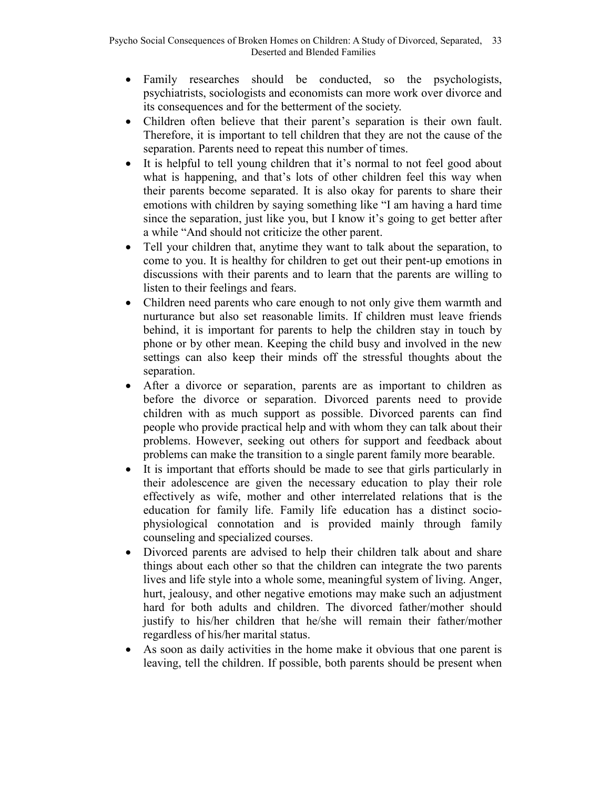- Family researches should be conducted, so the psychologists, psychiatrists, sociologists and economists can more work over divorce and its consequences and for the betterment of the society.
- Children often believe that their parent's separation is their own fault. Therefore, it is important to tell children that they are not the cause of the separation. Parents need to repeat this number of times.
- It is helpful to tell young children that it's normal to not feel good about what is happening, and that's lots of other children feel this way when their parents become separated. It is also okay for parents to share their emotions with children by saying something like "I am having a hard time since the separation, just like you, but I know it's going to get better after a while "And should not criticize the other parent.
- Tell your children that, anytime they want to talk about the separation, to come to you. It is healthy for children to get out their pent-up emotions in discussions with their parents and to learn that the parents are willing to listen to their feelings and fears.
- Children need parents who care enough to not only give them warmth and nurturance but also set reasonable limits. If children must leave friends behind, it is important for parents to help the children stay in touch by phone or by other mean. Keeping the child busy and involved in the new settings can also keep their minds off the stressful thoughts about the separation.
- After a divorce or separation, parents are as important to children as before the divorce or separation. Divorced parents need to provide children with as much support as possible. Divorced parents can find people who provide practical help and with whom they can talk about their problems. However, seeking out others for support and feedback about problems can make the transition to a single parent family more bearable.
- It is important that efforts should be made to see that girls particularly in their adolescence are given the necessary education to play their role effectively as wife, mother and other interrelated relations that is the education for family life. Family life education has a distinct sociophysiological connotation and is provided mainly through family counseling and specialized courses.
- Divorced parents are advised to help their children talk about and share things about each other so that the children can integrate the two parents lives and life style into a whole some, meaningful system of living. Anger, hurt, jealousy, and other negative emotions may make such an adjustment hard for both adults and children. The divorced father/mother should justify to his/her children that he/she will remain their father/mother regardless of his/her marital status.
- As soon as daily activities in the home make it obvious that one parent is leaving, tell the children. If possible, both parents should be present when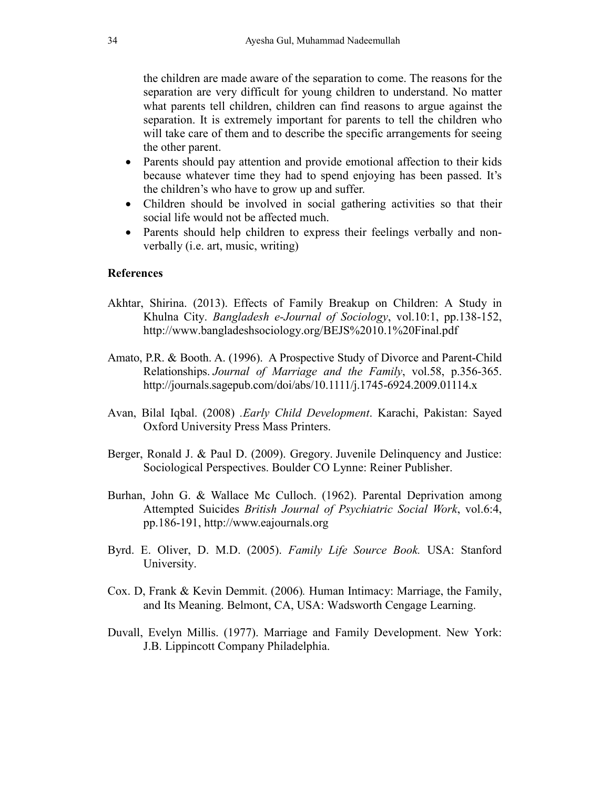the children are made aware of the separation to come. The reasons for the separation are very difficult for young children to understand. No matter what parents tell children, children can find reasons to argue against the separation. It is extremely important for parents to tell the children who will take care of them and to describe the specific arrangements for seeing the other parent.

- Parents should pay attention and provide emotional affection to their kids because whatever time they had to spend enjoying has been passed. It's the children's who have to grow up and suffer.
- Children should be involved in social gathering activities so that their social life would not be affected much.
- Parents should help children to express their feelings verbally and nonverbally (i.e. art, music, writing)

#### **References**

- Akhtar, Shirina. (2013). Effects of Family Breakup on Children: A Study in Khulna City. *Bangladesh e-Journal of Sociology*, vol.10:1, pp.138-152, http://www.bangladeshsociology.org/BEJS%2010.1%20Final.pdf
- Amato, P.R. & Booth. A. (1996). A Prospective Study of Divorce and Parent-Child Relationships. *Journal of Marriage and the Family*, vol.58, p.356-365. http://journals.sagepub.com/doi/abs/10.1111/j.1745-6924.2009.01114.x
- Avan, Bilal Iqbal. (2008) *.Early Child Development*. Karachi, Pakistan: Sayed Oxford University Press Mass Printers.
- Berger, Ronald J. & Paul D. (2009). Gregory. Juvenile Delinquency and Justice: Sociological Perspectives. Boulder CO Lynne: Reiner Publisher.
- Burhan, John G. & Wallace Mc Culloch. (1962). Parental Deprivation among Attempted Suicides *British Journal of Psychiatric Social Work*, vol.6:4, pp.186-191, http://www.eajournals.org
- Byrd. E. Oliver, D. M.D. (2005). *Family Life Source Book.* USA: Stanford University.
- Cox. D, Frank & Kevin Demmit. (2006)*.* Human Intimacy: Marriage, the Family, and Its Meaning. Belmont, CA, USA: Wadsworth Cengage Learning.
- Duvall, Evelyn Millis. (1977). Marriage and Family Development. New York: J.B. Lippincott Company Philadelphia.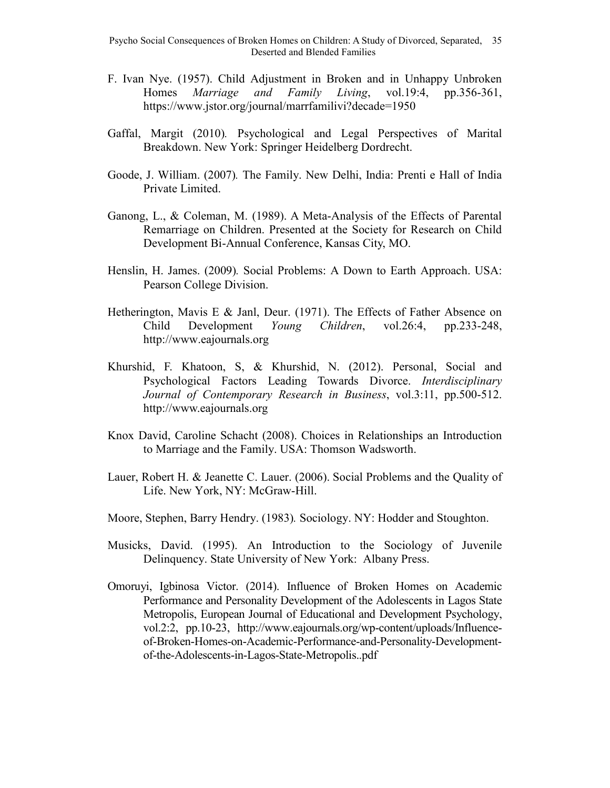- F. Ivan Nye. (1957). Child Adjustment in Broken and in Unhappy Unbroken Homes *Marriage and Family Living*, vol.19:4, pp.356-361, https://www.jstor.org/journal/marrfamilivi?decade=1950
- Gaffal, Margit (2010)*.* Psychological and Legal Perspectives of Marital Breakdown. New York: Springer Heidelberg Dordrecht.
- Goode, J. William. (2007)*.* The Family. New Delhi, India: Prenti e Hall of India Private Limited.
- Ganong, L., & Coleman, M. (1989). A Meta-Analysis of the Effects of Parental Remarriage on Children. Presented at the Society for Research on Child Development Bi-Annual Conference, Kansas City, MO.
- Henslin, H. James. (2009)*.* Social Problems: A Down to Earth Approach. USA: Pearson College Division.
- Hetherington, Mavis E & Janl, Deur. (1971). The Effects of Father Absence on Child Development *Young Children*, vol.26:4, pp.233-248, http://www.eajournals.org
- Khurshid, F. Khatoon, S, & Khurshid, N. (2012). Personal, Social and Psychological Factors Leading Towards Divorce. *Interdisciplinary Journal of Contemporary Research in Business*, vol.3:11, pp.500-512. http://www.eajournals.org
- Knox David, Caroline Schacht (2008). Choices in Relationships an Introduction to Marriage and the Family. USA: Thomson Wadsworth.
- Lauer, Robert H. & Jeanette C. Lauer. (2006). Social Problems and the Quality of Life. New York, NY: McGraw-Hill.
- Moore, Stephen, Barry Hendry. (1983)*.* Sociology. NY: Hodder and Stoughton.
- Musicks, David. (1995). An Introduction to the Sociology of Juvenile Delinquency. State University of New York: Albany Press.
- Omoruyi, Igbinosa Victor. (2014). Influence of Broken Homes on Academic Performance and Personality Development of the Adolescents in Lagos State Metropolis, European Journal of Educational and Development Psychology, vol.2:2, pp.10-23, http://www.eajournals.org/wp-content/uploads/Influenceof-Broken-Homes-on-Academic-Performance-and-Personality-Developmentof-the-Adolescents-in-Lagos-State-Metropolis..pdf